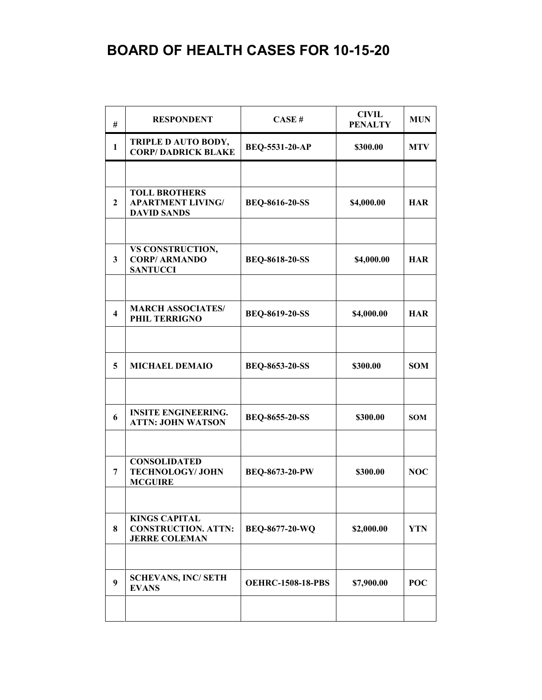## **BOARD OF HEALTH CASES FOR 10-15-20**

| #                       | <b>RESPONDENT</b>                                                          | CASE#                    | <b>CIVIL</b><br><b>PENALTY</b> | <b>MUN</b> |
|-------------------------|----------------------------------------------------------------------------|--------------------------|--------------------------------|------------|
| $\mathbf{1}$            | TRIPLE D AUTO BODY,<br><b>CORP/DADRICK BLAKE</b>                           | <b>BEQ-5531-20-AP</b>    | \$300.00                       | <b>MTV</b> |
|                         |                                                                            |                          |                                |            |
| $\mathbf{2}$            | <b>TOLL BROTHERS</b><br><b>APARTMENT LIVING/</b><br><b>DAVID SANDS</b>     | <b>BEQ-8616-20-SS</b>    | \$4,000.00                     | <b>HAR</b> |
|                         |                                                                            |                          |                                |            |
| 3                       | VS CONSTRUCTION,<br><b>CORP/ ARMANDO</b><br><b>SANTUCCI</b>                | <b>BEQ-8618-20-SS</b>    | \$4,000.00                     | <b>HAR</b> |
|                         |                                                                            |                          |                                |            |
| $\overline{\mathbf{4}}$ | <b>MARCH ASSOCIATES/</b><br>PHIL TERRIGNO                                  | <b>BEQ-8619-20-SS</b>    | \$4,000.00                     | <b>HAR</b> |
|                         |                                                                            |                          |                                |            |
| 5                       | <b>MICHAEL DEMAIO</b>                                                      | <b>BEQ-8653-20-SS</b>    | \$300.00                       | <b>SOM</b> |
|                         |                                                                            |                          |                                |            |
| 6                       | <b>INSITE ENGINEERING.</b><br><b>ATTN: JOHN WATSON</b>                     | <b>BEQ-8655-20-SS</b>    | \$300.00                       | <b>SOM</b> |
|                         |                                                                            |                          |                                |            |
| 7                       | <b>CONSOLIDATED</b><br><b>TECHNOLOGY/JOHN</b><br><b>MCGUIRE</b>            | <b>BEQ-8673-20-PW</b>    | \$300.00                       | <b>NOC</b> |
|                         |                                                                            |                          |                                |            |
| 8                       | <b>KINGS CAPITAL</b><br><b>CONSTRUCTION. ATTN:</b><br><b>JERRE COLEMAN</b> | <b>BEQ-8677-20-WQ</b>    | \$2,000.00                     | <b>YTN</b> |
|                         |                                                                            |                          |                                |            |
| 9                       | <b>SCHEVANS, INC/ SETH</b><br><b>EVANS</b>                                 | <b>OEHRC-1508-18-PBS</b> | \$7,900.00                     | POC        |
|                         |                                                                            |                          |                                |            |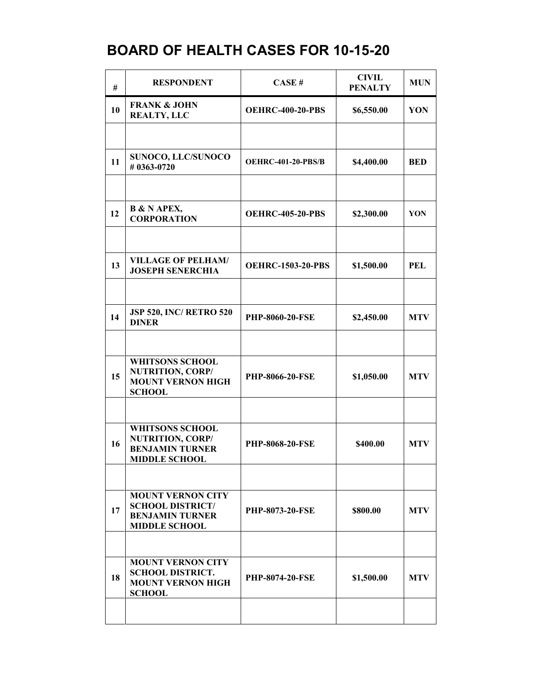## **BOARD OF HEALTH CASES FOR 10-15-20**

| #  | <b>RESPONDENT</b>                                                                                     | CASE#                     | <b>CIVIL</b><br><b>PENALTY</b> | <b>MUN</b> |
|----|-------------------------------------------------------------------------------------------------------|---------------------------|--------------------------------|------------|
| 10 | <b>FRANK &amp; JOHN</b><br><b>REALTY, LLC</b>                                                         | <b>OEHRC-400-20-PBS</b>   | \$6,550.00                     | YON        |
|    |                                                                                                       |                           |                                |            |
| 11 | SUNOCO, LLC/SUNOCO<br>#0363-0720                                                                      | <b>OEHRC-401-20-PBS/B</b> | \$4,400.00                     | <b>BED</b> |
|    |                                                                                                       |                           |                                |            |
| 12 | <b>B &amp; N APEX,</b><br><b>CORPORATION</b>                                                          | <b>OEHRC-405-20-PBS</b>   | \$2,300.00                     | YON        |
|    |                                                                                                       |                           |                                |            |
| 13 | <b>VILLAGE OF PELHAM/</b><br><b>JOSEPH SENERCHIA</b>                                                  | <b>OEHRC-1503-20-PBS</b>  | \$1,500.00                     | <b>PEL</b> |
|    |                                                                                                       |                           |                                |            |
| 14 | <b>JSP 520, INC/ RETRO 520</b><br><b>DINER</b>                                                        | <b>PHP-8060-20-FSE</b>    | \$2,450.00                     | <b>MTV</b> |
|    |                                                                                                       |                           |                                |            |
| 15 | <b>WHITSONS SCHOOL</b><br><b>NUTRITION, CORP/</b><br><b>MOUNT VERNON HIGH</b><br><b>SCHOOL</b>        | <b>PHP-8066-20-FSE</b>    | \$1,050.00                     | <b>MTV</b> |
|    |                                                                                                       |                           |                                |            |
| 16 | <b>WHITSONS SCHOOL</b><br><b>NUTRITION, CORP/</b><br><b>BENJAMIN TURNER</b><br><b>MIDDLE SCHOOL</b>   | PHP-8068-20-FSE           | \$400.00                       | <b>MTV</b> |
|    |                                                                                                       |                           |                                |            |
| 17 | <b>MOUNT VERNON CITY</b><br><b>SCHOOL DISTRICT/</b><br><b>BENJAMIN TURNER</b><br><b>MIDDLE SCHOOL</b> | <b>PHP-8073-20-FSE</b>    | \$800.00                       | <b>MTV</b> |
|    |                                                                                                       |                           |                                |            |
| 18 | <b>MOUNT VERNON CITY</b><br><b>SCHOOL DISTRICT.</b><br><b>MOUNT VERNON HIGH</b><br><b>SCHOOL</b>      | <b>PHP-8074-20-FSE</b>    | \$1,500.00                     | <b>MTV</b> |
|    |                                                                                                       |                           |                                |            |